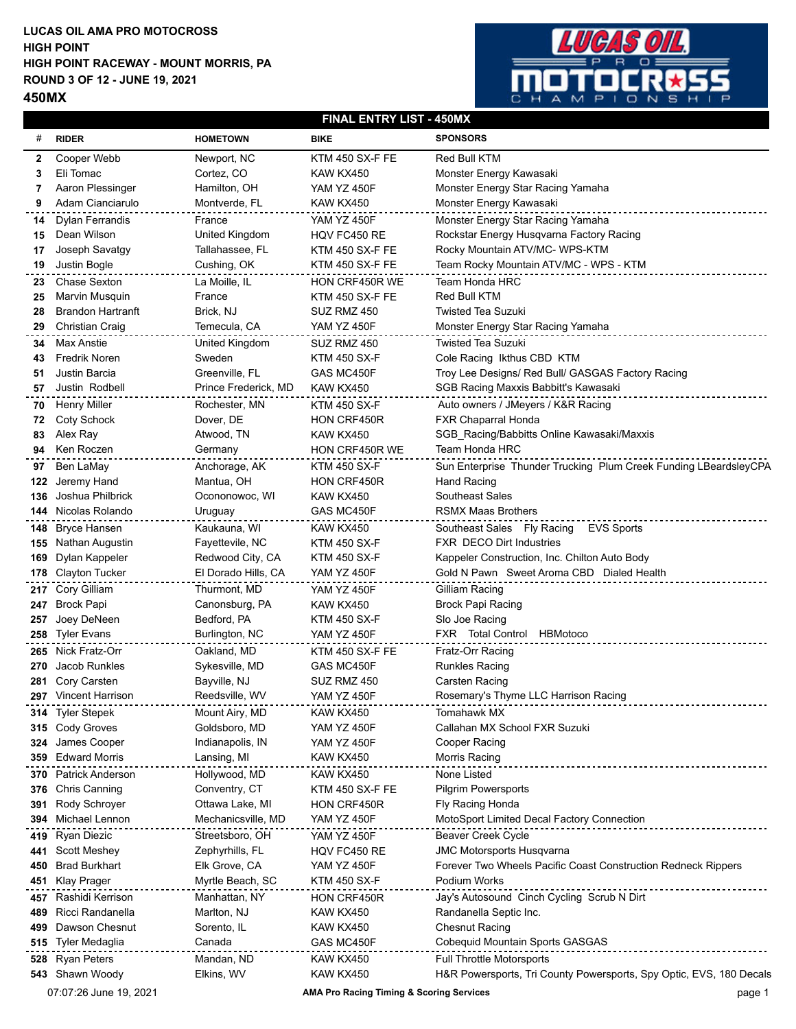## **LUCAS OIL AMA PRO MOTOCROSS HIGH POINT RACEWAY - MOUNT MORRIS, PA ROUND 3 OF 12 - JUNE 19, 2021 450MX HIGH POINT**



## **FINAL ENTRY LIST - 450MX**

| #   | <b>RIDER</b>             | <b>HOMETOWN</b>      | <b>BIKE</b>            | <b>SPONSORS</b>                                                     |
|-----|--------------------------|----------------------|------------------------|---------------------------------------------------------------------|
| 2   | Cooper Webb              | Newport, NC          | KTM 450 SX-F FE        | Red Bull KTM                                                        |
| 3   | Eli Tomac                | Cortez, CO           | KAW KX450              | Monster Energy Kawasaki                                             |
| 7   | Aaron Plessinger         | Hamilton, OH         | <b>YAM YZ 450F</b>     | Monster Energy Star Racing Yamaha                                   |
| 9   | Adam Cianciarulo         | Montverde, FL        | KAW KX450              | Monster Energy Kawasaki                                             |
| 14  | <b>Dylan Ferrandis</b>   | France               | <b>YAM YZ 450F</b>     | Monster Energy Star Racing Yamaha                                   |
| 15  | Dean Wilson              | United Kingdom       | HQV FC450 RE           | Rockstar Energy Husqvarna Factory Racing                            |
| 17  | Joseph Savatgy           | Tallahassee, FL      | KTM 450 SX-F FE        | Rocky Mountain ATV/MC- WPS-KTM                                      |
| 19  | Justin Bogle             | Cushing, OK          | KTM 450 SX-F FE        | Team Rocky Mountain ATV/MC - WPS - KTM                              |
| 23  | Chase Sexton             | La Moille, IL        | HON CRF450R WE         | Team Honda HRC                                                      |
| 25  | Marvin Musquin           | France               | <b>KTM 450 SX-F FE</b> | Red Bull KTM                                                        |
| 28  | <b>Brandon Hartranft</b> | Brick, NJ            | SUZ RMZ 450            | <b>Twisted Tea Suzuki</b>                                           |
| 29  | <b>Christian Craig</b>   | Temecula, CA         | YAM YZ 450F            | Monster Energy Star Racing Yamaha                                   |
| 34  | <b>Max Anstie</b>        | United Kingdom       | SUZ RMZ 450            | <b>Twisted Tea Suzuki</b>                                           |
| 43  | <b>Fredrik Noren</b>     | Sweden               | <b>KTM 450 SX-F</b>    | Cole Racing Ikthus CBD KTM                                          |
| 51  | Justin Barcia            | Greenville, FL       | GAS MC450F             | Troy Lee Designs/ Red Bull/ GASGAS Factory Racing                   |
| 57  | Justin Rodbell           | Prince Frederick, MD | KAW KX450              | SGB Racing Maxxis Babbitt's Kawasaki                                |
| 70  | <b>Henry Miller</b>      | Rochester, MN        | <b>KTM 450 SX-F</b>    | Auto owners / JMeyers / K&R Racing                                  |
| 72  | Coty Schock              | Dover, DE            | HON CRF450R            | FXR Chaparral Honda                                                 |
| 83  | Alex Ray                 | Atwood, TN           | KAW KX450              | SGB_Racing/Babbitts Online Kawasaki/Maxxis                          |
| 94  | Ken Roczen               | Germany              | HON CRF450R WE         | Team Honda HRC                                                      |
| 97  | Ben LaMay                | Anchorage, AK        | <b>KTM 450 SX-F</b>    | Sun Enterprise Thunder Trucking Plum Creek Funding LBeardsleyCPA    |
| 122 | Jeremy Hand              | Mantua, OH           | HON CRF450R            | <b>Hand Racing</b>                                                  |
| 136 | Joshua Philbrick         | Ocononowoc, WI       | KAW KX450              | Southeast Sales                                                     |
|     | 144 Nicolas Rolando      | Uruguay              | GAS MC450F             | <b>RSMX Maas Brothers</b>                                           |
| 148 | Bryce Hansen             | Kaukauna, WI         | KAW KX450              | <b>EVS Sports</b><br>Southeast Sales Fly Racing                     |
| 155 | Nathan Augustin          | Fayettevile, NC      | <b>KTM 450 SX-F</b>    | <b>FXR DECO Dirt Industries</b>                                     |
| 169 | Dylan Kappeler           | Redwood City, CA     | <b>KTM 450 SX-F</b>    | Kappeler Construction, Inc. Chilton Auto Body                       |
|     | 178 Clayton Tucker       | El Dorado Hills, CA  | YAM YZ 450F            | Gold N Pawn Sweet Aroma CBD Dialed Health                           |
| 217 | Cory Gilliam             | Thurmont, MD         | <b>YAM YZ 450F</b>     | Gilliam Racing                                                      |
| 247 | <b>Brock Papi</b>        | Canonsburg, PA       | KAW KX450              | <b>Brock Papi Racing</b>                                            |
| 257 | Joey DeNeen              | Bedford, PA          | <b>KTM 450 SX-F</b>    | Slo Joe Racing                                                      |
| 258 | <b>Tyler Evans</b>       | Burlington, NC       | YAM YZ 450F            | FXR Total Control HBMotoco                                          |
|     | 265 Nick Fratz-Orr       | Oakland, MD          | KTM 450 SX-F FE        | Fratz-Orr Racing                                                    |
| 270 | Jacob Runkles            | Sykesville, MD       | GAS MC450F             | <b>Runkles Racing</b>                                               |
| 281 | Cory Carsten             | Bayville, NJ         | SUZ RMZ 450            | Carsten Racing                                                      |
|     | 297 Vincent Harrison     | Reedsville, WV       | YAM YZ 450F            | Rosemary's Thyme LLC Harrison Racing                                |
| 314 | <b>Tyler Stepek</b>      | Mount Airy, MD       | KAW KX450              | Tomahawk MX                                                         |
|     | 315 Cody Groves          | Goldsboro, MD        | YAM YZ 450F            | Callahan MX School FXR Suzuki                                       |
| 324 | James Cooper             | Indianapolis, IN     | <b>YAM YZ 450F</b>     | Cooper Racing                                                       |
| 359 | <b>Edward Morris</b>     | Lansing, MI          | KAW KX450              | Morris Racing                                                       |
| 370 | <b>Patrick Anderson</b>  | Hollywood, MD        | KAW KX450              | None Listed                                                         |
| 376 | <b>Chris Canning</b>     | Conventry, CT        | KTM 450 SX-F FE        | Pilgrim Powersports                                                 |
| 391 | Rody Schroyer            | Ottawa Lake, MI      | HON CRF450R            | Fly Racing Honda                                                    |
| 394 | Michael Lennon           | Mechanicsville, MD   | YAM YZ 450F            | MotoSport Limited Decal Factory Connection                          |
| 419 | Ryan Diezic              | Streetsboro, OH      | <b>YAM YZ 450F</b>     | <b>Beaver Creek Cycle</b>                                           |
| 441 | <b>Scott Meshey</b>      | Zephyrhills, FL      | HQV FC450 RE           | <b>JMC Motorsports Husqvarna</b>                                    |
| 450 | <b>Brad Burkhart</b>     | Elk Grove, CA        | <b>YAM YZ 450F</b>     | Forever Two Wheels Pacific Coast Construction Redneck Rippers       |
|     | 451 Klay Prager          | Myrtle Beach, SC     | KTM 450 SX-F           | Podium Works                                                        |
| 457 | Rashidi Kerrison         | Manhattan, NY        | HON CRF450R            | Jay's Autosound Cinch Cycling Scrub N Dirt                          |
| 489 | Ricci Randanella         | Marlton, NJ          | KAW KX450              | Randanella Septic Inc.                                              |
| 499 | Dawson Chesnut           | Sorento, IL          | KAW KX450              | <b>Chesnut Racing</b>                                               |
|     | 515 Tyler Medaglia       | Canada               | GAS MC450F             | Cobequid Mountain Sports GASGAS                                     |
| 528 | <b>Ryan Peters</b>       | Mandan, ND           | KAW KX450              | <b>Full Throttle Motorsports</b>                                    |
|     | 543 Shawn Woody          | Elkins, WV           | KAW KX450              | H&R Powersports, Tri County Powersports, Spy Optic, EVS, 180 Decals |
|     |                          |                      |                        |                                                                     |